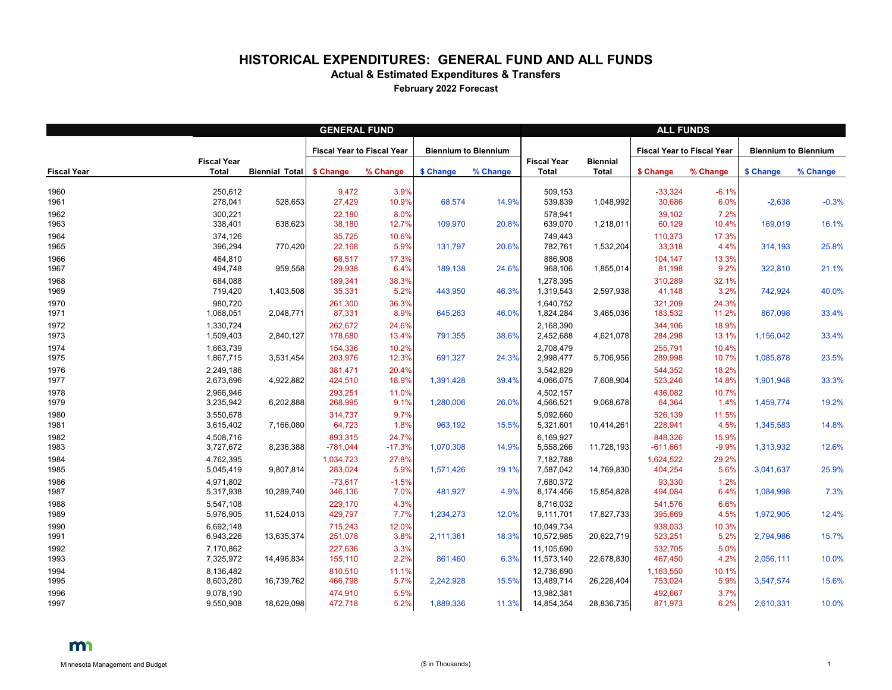## **HISTORICAL EXPENDITURES: GENERAL FUND AND ALL FUNDS**

**Actual & Estimated Expenditures & Transfers**

**February 2022 Forecast**

|                    | <b>GENERAL FUND</b>                |                       |                                   |                   |                             |          |                                    | <b>ALL FUNDS</b>                |                                   |                  |                             |          |  |  |
|--------------------|------------------------------------|-----------------------|-----------------------------------|-------------------|-----------------------------|----------|------------------------------------|---------------------------------|-----------------------------------|------------------|-----------------------------|----------|--|--|
|                    |                                    |                       | <b>Fiscal Year to Fiscal Year</b> |                   | <b>Biennium to Biennium</b> |          |                                    |                                 | <b>Fiscal Year to Fiscal Year</b> |                  | <b>Biennium to Biennium</b> |          |  |  |
| <b>Fiscal Year</b> | <b>Fiscal Year</b><br><b>Total</b> | <b>Biennial Total</b> | \$ Change                         | % Change          | \$ Change                   | % Change | <b>Fiscal Year</b><br><b>Total</b> | <b>Biennial</b><br><b>Total</b> | \$ Change                         | % Change         | \$ Change                   | % Change |  |  |
| 1960<br>1961       | 250,612<br>278,041                 | 528,653               | 9,472<br>27,429                   | 3.9%<br>10.9%     | 68,574                      | 14.9%    | 509,153<br>539,839                 | 1,048,992                       | $-33,324$<br>30,686               | $-6.1%$<br>6.0%  | $-2,638$                    | $-0.3%$  |  |  |
| 1962<br>1963       | 300,221<br>338,401                 | 638,623               | 22,180<br>38,180                  | 8.0%<br>12.7%     | 109,970                     | 20.8%    | 578,941<br>639,070                 | 1,218,011                       | 39,102<br>60,129                  | 7.2%<br>10.4%    | 169,019                     | 16.1%    |  |  |
| 1964<br>1965       | 374,126<br>396,294                 | 770,420               | 35,725<br>22,168                  | 10.6%<br>5.9%     | 131,797                     | 20.6%    | 749,443<br>782,761                 | 1,532,204                       | 110,373<br>33,318                 | 17.3%<br>4.4%    | 314,193                     | 25.8%    |  |  |
| 1966<br>1967       | 464,810<br>494,748                 | 959,558               | 68,517<br>29,938                  | 17.3%<br>6.4%     | 189,138                     | 24.6%    | 886,908<br>968,106                 | 1,855,014                       | 104,147<br>81,198                 | 13.3%<br>9.2%    | 322,810                     | 21.1%    |  |  |
| 1968<br>1969       | 684,088<br>719,420                 | 1,403,508             | 189,341<br>35,331                 | 38.3%<br>5.2%     | 443,950                     | 46.3%    | 1,278,395<br>1,319,543             | 2,597,938                       | 310,289<br>41,148                 | 32.1%<br>3.2%    | 742,924                     | 40.0%    |  |  |
| 1970<br>1971       | 980,720<br>1,068,051               | 2,048,771             | 261,300<br>87,331                 | 36.3%<br>8.9%     | 645,263                     | 46.0%    | 1,640,752<br>1,824,284             | 3,465,036                       | 321,209<br>183,532                | 24.3%<br>11.2%   | 867,098                     | 33.4%    |  |  |
| 1972<br>1973       | 1,330,724<br>1,509,403             | 2,840,127             | 262,672<br>178,680                | 24.6%<br>13.4%    | 791,355                     | 38.6%    | 2,168,390<br>2,452,688             | 4,621,078                       | 344,106<br>284,298                | 18.9%<br>13.1%   | 1,156,042                   | 33.4%    |  |  |
| 1974<br>1975       | 1,663,739<br>1,867,715             | 3,531,454             | 154,336<br>203,976                | 10.2%<br>12.3%    | 691,327                     | 24.3%    | 2,708,479<br>2,998,477             | 5,706,956                       | 255,791<br>289,998                | 10.4%<br>10.7%   | 1,085,878                   | 23.5%    |  |  |
| 1976<br>1977       | 2,249,186<br>2,673,696             | 4,922,882             | 381,471<br>424,510                | 20.4%<br>18.9%    | 1,391,428                   | 39.4%    | 3,542,829<br>4,066,075             | 7,608,904                       | 544,352<br>523,246                | 18.2%<br>14.8%   | 1,901,948                   | 33.3%    |  |  |
| 1978<br>1979       | 2,966,946<br>3,235,942             | 6,202,888             | 293,251<br>268,995                | 11.0%<br>9.1%     | 1,280,006                   | 26.0%    | 4,502,157<br>4,566,521             | 9,068,678                       | 436,082<br>64,364                 | 10.7%<br>1.4%    | 1,459,774                   | 19.2%    |  |  |
| 1980<br>1981       | 3,550,678<br>3,615,402             | 7,166,080             | 314,737<br>64,723                 | 9.7%<br>1.8%      | 963,192                     | 15.5%    | 5,092,660<br>5,321,601             | 10,414,261                      | 526,139<br>228,941                | 11.5%<br>4.5%    | 1,345,583                   | 14.8%    |  |  |
| 1982<br>1983       | 4,508,716<br>3,727,672             | 8,236,388             | 893,315<br>$-781,044$             | 24.7%<br>$-17.3%$ | 1,070,308                   | 14.9%    | 6,169,927<br>5,558,266             | 11,728,193                      | 848,326<br>$-611,661$             | 15.9%<br>$-9.9%$ | 1,313,932                   | 12.6%    |  |  |
| 1984<br>1985       | 4,762,395<br>5,045,419             | 9,807,814             | 1,034,723<br>283,024              | 27.8%<br>5.9%     | 1,571,426                   | 19.1%    | 7,182,788<br>7,587,042             | 14,769,830                      | 1,624,522<br>404,254              | 29.2%<br>5.6%    | 3,041,637                   | 25.9%    |  |  |
| 1986<br>1987       | 4,971,802<br>5,317,938             | 10,289,740            | $-73,617$<br>346,136              | $-1.5%$<br>7.0%   | 481,927                     | 4.9%     | 7,680,372<br>8,174,456             | 15,854,828                      | 93,330<br>494,084                 | 1.2%<br>6.4%     | 1,084,998                   | 7.3%     |  |  |
| 1988<br>1989       | 5,547,108<br>5,976,905             | 11,524,013            | 229,170<br>429,797                | 4.3%<br>$7.7\%$   | 1,234,273                   | 12.0%    | 8,716,032<br>9,111,701             | 17,827,733                      | 541,576<br>395,669                | 6.6%<br>4.5%     | 1,972,905                   | 12.4%    |  |  |
| 1990<br>1991       | 6,692,148<br>6,943,226             | 13,635,374            | 715,243<br>251,078                | 12.0%<br>3.8%     | 2,111,361                   | 18.3%    | 10,049,734<br>10,572,985           | 20,622,719                      | 938,033<br>523,251                | 10.3%<br>5.2%    | 2,794,986                   | 15.7%    |  |  |
| 1992<br>1993       | 7,170,862<br>7,325,972             | 14,496,834            | 227,636<br>155,110                | 3.3%<br>2.2%      | 861,460                     | 6.3%     | 11,105,690<br>11,573,140           | 22,678,830                      | 532,705<br>467,450                | 5.0%<br>4.2%     | 2,056,111                   | 10.0%    |  |  |
| 1994<br>1995       | 8,136,482<br>8,603,280             | 16,739,762            | 810,510<br>466,798                | 11.1%<br>5.7%     | 2,242,928                   | 15.5%    | 12,736,690<br>13,489,714           | 26,226,404                      | 1,163,550<br>753,024              | 10.1%<br>5.9%    | 3,547,574                   | 15.6%    |  |  |
| 1996<br>1997       | 9,078,190<br>9,550,908             | 18,629,098            | 474,910<br>472,718                | 5.5%<br>5.2%      | 1,889,336                   | 11.3%    | 13,982,381<br>14,854,354           | 28,836,735                      | 492,667<br>871,973                | 3.7%<br>6.2%     | 2,610,331                   | 10.0%    |  |  |